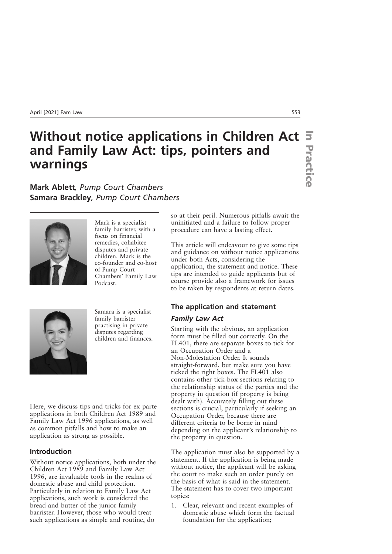# Without notice applications in Children Act  $\overline{\mathbf{s}}$ **and Family Law Act: tips, pointers and warnings**

**Mark Ablett***, Pump Court Chambers* **Samara Brackley***, Pump Court Chambers*



Mark is a specialist family barrister, with a focus on financial remedies, cohabitee disputes and private children. Mark is the co-founder and co-host of Pump Court Chambers' Family Law Podcast.



Samara is a specialist family barrister practising in private disputes regarding children and finances.

Here, we discuss tips and tricks for ex parte applications in both Children Act 1989 and Family Law Act 1996 applications, as well as common pitfalls and how to make an application as strong as possible.

# **Introduction**

Without notice applications, both under the Children Act 1989 and Family Law Act 1996, are invaluable tools in the realms of domestic abuse and child protection. Particularly in relation to Family Law Act applications, such work is considered the bread and butter of the junior family barrister. However, those who would treat such applications as simple and routine, do

so at their peril. Numerous pitfalls await the uninitiated and a failure to follow proper procedure can have a lasting effect.

This article will endeavour to give some tips and guidance on without notice applications under both Acts, considering the application, the statement and notice. These tips are intended to guide applicants but of course provide also a framework for issues to be taken by respondents at return dates.

## **The application and statement**

#### *Family Law Act*

Starting with the obvious, an application form must be filled out correctly. On the FL401, there are separate boxes to tick for an Occupation Order and a Non-Molestation Order. It sounds straight-forward, but make sure you have ticked the right boxes. The FL401 also contains other tick-box sections relating to the relationship status of the parties and the property in question (if property is being dealt with). Accurately filling out these sections is crucial, particularly if seeking an Occupation Order, because there are different criteria to be borne in mind depending on the applicant's relationship to the property in question.

The application must also be supported by a statement. If the application is being made without notice, the applicant will be asking the court to make such an order purely on the basis of what is said in the statement. The statement has to cover two important topics:

1. Clear, relevant and recent examples of domestic abuse which form the factual foundation for the application;

**Practice Practice**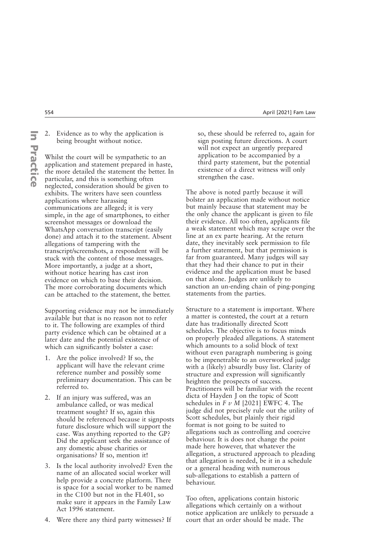2. Evidence as to why the application is being brought without notice.

Whilst the court will be sympathetic to an application and statement prepared in haste, the more detailed the statement the better. In particular, and this is something often neglected, consideration should be given to exhibits. The writers have seen countless applications where harassing communications are alleged; it is very simple, in the age of smartphones, to either screenshot messages or download the WhatsApp conversation transcript (easily done) and attach it to the statement. Absent allegations of tampering with the transcript/screenshots, a respondent will be stuck with the content of those messages. More importantly, a judge at a short, without notice hearing has cast iron evidence on which to base their decision. The more corroborating documents which can be attached to the statement, the better.

Supporting evidence may not be immediately available but that is no reason not to refer to it. The following are examples of third party evidence which can be obtained at a later date and the potential existence of which can significantly bolster a case:

- 1. Are the police involved? If so, the applicant will have the relevant crime reference number and possibly some preliminary documentation. This can be referred to.
- 2. If an injury was suffered, was an ambulance called, or was medical treatment sought? If so, again this should be referenced because it signposts future disclosure which will support the case. Was anything reported to the GP? Did the applicant seek the assistance of any domestic abuse charities or organisations? If so, mention it!
- 3. Is the local authority involved? Even the name of an allocated social worker will help provide a concrete platform. There is space for a social worker to be named in the C100 but not in the FL401, so make sure it appears in the Family Law Act 1996 statement.
- 4. Were there any third party witnesses? If

so, these should be referred to, again for sign posting future directions. A court will not expect an urgently prepared application to be accompanied by a third party statement, but the potential existence of a direct witness will only strengthen the case.

The above is noted partly because it will bolster an application made without notice but mainly because that statement may be the only chance the applicant is given to file their evidence. All too often, applicants file a weak statement which may scrape over the line at an ex parte hearing. At the return date, they inevitably seek permission to file a further statement, but that permission is far from guaranteed. Many judges will say that they had their chance to put in their evidence and the application must be based on that alone. Judges are unlikely to sanction an un-ending chain of ping-ponging statements from the parties.

Structure to a statement is important. Where a matter is contested, the court at a return date has traditionally directed Scott schedules. The objective is to focus minds on properly pleaded allegations. A statement which amounts to a solid block of text without even paragraph numbering is going to be impenetrable to an overworked judge with a (likely) absurdly busy list. Clarity of structure and expression will significantly heighten the prospects of success. Practitioners will be familiar with the recent dicta of Hayden J on the topic of Scott schedules in  $Fv$  *M* [2021] EWFC 4. The judge did not precisely rule out the utility of Scott schedules, but plainly their rigid format is not going to be suited to allegations such as controlling and coercive behaviour. It is does not change the point made here however, that whatever the allegation, a structured approach to pleading that allegation is needed, be it in a schedule or a general heading with numerous sub-allegations to establish a pattern of behaviour.

Too often, applications contain historic allegations which certainly on a without notice application are unlikely to persuade a court that an order should be made. The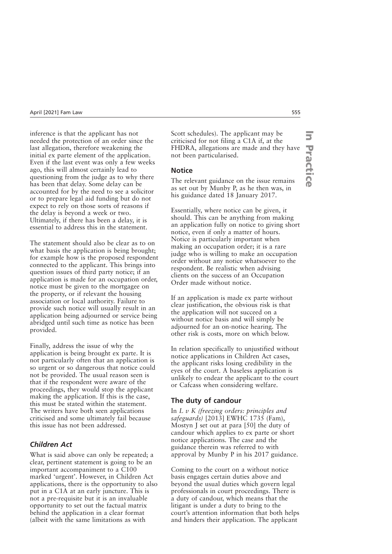inference is that the applicant has not needed the protection of an order since the last allegation, therefore weakening the initial ex parte element of the application. Even if the last event was only a few weeks ago, this will almost certainly lead to questioning from the judge as to why there has been that delay. Some delay can be accounted for by the need to see a solicitor or to prepare legal aid funding but do not expect to rely on those sorts of reasons if the delay is beyond a week or two. Ultimately, if there has been a delay, it is essential to address this in the statement.

The statement should also be clear as to on what basis the application is being brought; for example how is the proposed respondent connected to the applicant. This brings into question issues of third party notice; if an application is made for an occupation order, notice must be given to the mortgagee on the property, or if relevant the housing association or local authority. Failure to provide such notice will usually result in an application being adjourned or service being abridged until such time as notice has been provided.

Finally, address the issue of why the application is being brought ex parte. It is not particularly often that an application is so urgent or so dangerous that notice could not be provided. The usual reason seen is that if the respondent were aware of the proceedings, they would stop the applicant making the application. If this is the case, this must be stated within the statement. The writers have both seen applications criticised and some ultimately fail because this issue has not been addressed.

# *Children Act*

What is said above can only be repeated; a clear, pertinent statement is going to be an important accompaniment to a C100 marked 'urgent'. However, in Children Act applications, there is the opportunity to also put in a C1A at an early juncture. This is not a pre-requisite but it is an invaluable opportunity to set out the factual matrix behind the application in a clear format (albeit with the same limitations as with

Scott schedules). The applicant may be criticised for not filing a C1A if, at the FHDRA, allegations are made and they have not been particularised.

#### **Notice**

The relevant guidance on the issue remains as set out by Munby P, as he then was, in his guidance dated 18 January 2017.

Essentially, where notice can be given, it should. This can be anything from making an application fully on notice to giving short notice, even if only a matter of hours. Notice is particularly important when making an occupation order; it is a rare judge who is willing to make an occupation order without any notice whatsoever to the respondent. Be realistic when advising clients on the success of an Occupation Order made without notice.

If an application is made ex parte without clear justification, the obvious risk is that the application will not succeed on a without notice basis and will simply be adjourned for an on-notice hearing. The other risk is costs, more on which below.

In relation specifically to unjustified without notice applications in Children Act cases, the applicant risks losing credibility in the eyes of the court. A baseless application is unlikely to endear the applicant to the court or Cafcass when considering welfare.

# **The duty of candour**

In *L v K (freezing orders: principles and safeguards)* [2013] EWHC 1735 (Fam), Mostyn J set out at para [50] the duty of candour which applies to ex parte or short notice applications. The case and the guidance therein was referred to with approval by Munby P in his 2017 guidance.

Coming to the court on a without notice basis engages certain duties above and beyond the usual duties which govern legal professionals in court proceedings. There is a duty of candour, which means that the litigant is under a duty to bring to the court's attention information that both helps and hinders their application. The applicant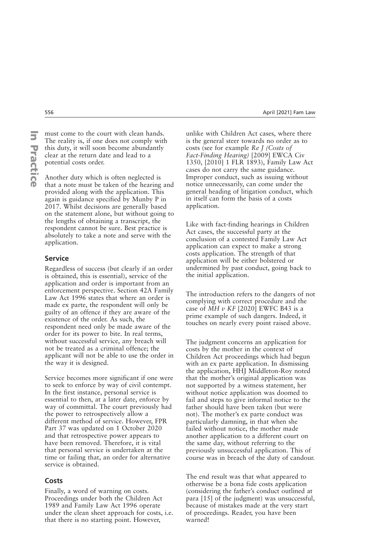must come to the court with clean hands. The reality is, if one does not comply with this duty, it will soon become abundantly clear at the return date and lead to a potential costs order.

Another duty which is often neglected is that a note must be taken of the hearing and provided along with the application. This again is guidance specified by Munby P in 2017. Whilst decisions are generally based on the statement alone, but without going to the lengths of obtaining a transcript, the respondent cannot be sure. Best practice is absolutely to take a note and serve with the application.

#### **Service**

Regardless of success (but clearly if an order is obtained, this is essential), service of the application and order is important from an enforcement perspective. Section 42A Family Law Act 1996 states that where an order is made ex parte, the respondent will only be guilty of an offence if they are aware of the existence of the order. As such, the respondent need only be made aware of the order for its power to bite. In real terms, without successful service, any breach will not be treated as a criminal offence; the applicant will not be able to use the order in the way it is designed.

Service becomes more significant if one were to seek to enforce by way of civil contempt. In the first instance, personal service is essential to then, at a later date, enforce by way of committal. The court previously had the power to retrospectively allow a different method of service. However, FPR Part 37 was updated on 1 October 2020 and that retrospective power appears to have been removed. Therefore, it is vital that personal service is undertaken at the time or failing that, an order for alternative service is obtained.

#### **Costs**

Finally, a word of warning on costs. Proceedings under both the Children Act 1989 and Family Law Act 1996 operate under the clean sheet approach for costs, i.e. that there is no starting point. However,

unlike with Children Act cases, where there is the general steer towards no order as to costs (see for example *Re J (Costs of Fact-Finding Hearing)* [2009] EWCA Civ 1350, [2010] 1 FLR 1893), Family Law Act cases do not carry the same guidance. Improper conduct, such as issuing without notice unnecessarily, can come under the general heading of litigation conduct, which in itself can form the basis of a costs application.

Like with fact-finding hearings in Children Act cases, the successful party at the conclusion of a contested Family Law Act application can expect to make a strong costs application. The strength of that application will be either bolstered or undermined by past conduct, going back to the initial application.

The introduction refers to the dangers of not complying with correct procedure and the case of *MH v KF* [2020] EWFC B43 is a prime example of such dangers. Indeed, it touches on nearly every point raised above.

The judgment concerns an application for costs by the mother in the context of Children Act proceedings which had begun with an ex parte application. In dismissing the application, HHJ Middleton-Roy noted that the mother's original application was not supported by a witness statement, her without notice application was doomed to fail and steps to give informal notice to the father should have been taken (but were not). The mother's ex parte conduct was particularly damning, in that when she failed without notice, the mother made another application to a different court on the same day, without referring to the previously unsuccessful application. This of course was in breach of the duty of candour.

The end result was that what appeared to otherwise be a bona fide costs application (considering the father's conduct outlined at para [15] of the judgment) was unsuccessful, because of mistakes made at the very start of proceedings. Reader, you have been warned!